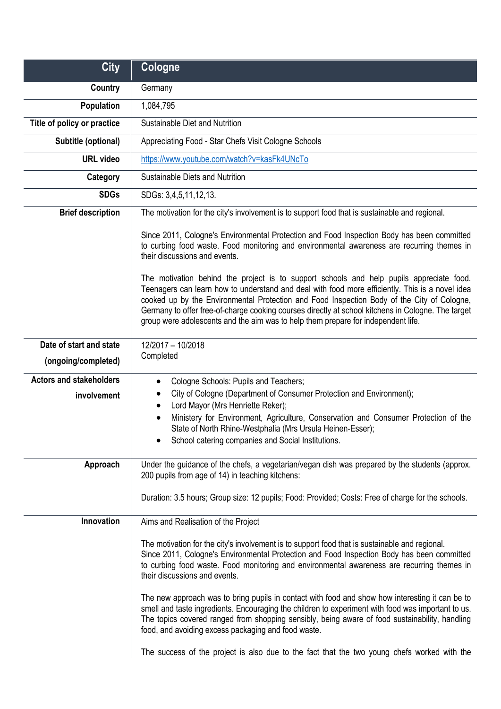| <b>City</b>                    | Cologne                                                                                                                                                                                                                                                                                                                                                                                                                                                                              |
|--------------------------------|--------------------------------------------------------------------------------------------------------------------------------------------------------------------------------------------------------------------------------------------------------------------------------------------------------------------------------------------------------------------------------------------------------------------------------------------------------------------------------------|
| Country                        | Germany                                                                                                                                                                                                                                                                                                                                                                                                                                                                              |
| Population                     | 1,084,795                                                                                                                                                                                                                                                                                                                                                                                                                                                                            |
| Title of policy or practice    | Sustainable Diet and Nutrition                                                                                                                                                                                                                                                                                                                                                                                                                                                       |
| Subtitle (optional)            | Appreciating Food - Star Chefs Visit Cologne Schools                                                                                                                                                                                                                                                                                                                                                                                                                                 |
| <b>URL</b> video               | https://www.youtube.com/watch?v=kasFk4UNcTo                                                                                                                                                                                                                                                                                                                                                                                                                                          |
| Category                       | Sustainable Diets and Nutrition                                                                                                                                                                                                                                                                                                                                                                                                                                                      |
| <b>SDGs</b>                    | SDGs: 3,4,5,11,12,13.                                                                                                                                                                                                                                                                                                                                                                                                                                                                |
| <b>Brief description</b>       | The motivation for the city's involvement is to support food that is sustainable and regional.                                                                                                                                                                                                                                                                                                                                                                                       |
|                                | Since 2011, Cologne's Environmental Protection and Food Inspection Body has been committed<br>to curbing food waste. Food monitoring and environmental awareness are recurring themes in<br>their discussions and events.                                                                                                                                                                                                                                                            |
|                                | The motivation behind the project is to support schools and help pupils appreciate food.<br>Teenagers can learn how to understand and deal with food more efficiently. This is a novel idea<br>cooked up by the Environmental Protection and Food Inspection Body of the City of Cologne,<br>Germany to offer free-of-charge cooking courses directly at school kitchens in Cologne. The target<br>group were adolescents and the aim was to help them prepare for independent life. |
| Date of start and state        | 12/2017 - 10/2018                                                                                                                                                                                                                                                                                                                                                                                                                                                                    |
| (ongoing/completed)            | Completed                                                                                                                                                                                                                                                                                                                                                                                                                                                                            |
| <b>Actors and stakeholders</b> | Cologne Schools: Pupils and Teachers;<br>$\bullet$                                                                                                                                                                                                                                                                                                                                                                                                                                   |
| involvement                    | City of Cologne (Department of Consumer Protection and Environment);<br>Lord Mayor (Mrs Henriette Reker);<br>٠                                                                                                                                                                                                                                                                                                                                                                       |
|                                | Ministery for Environment, Agriculture, Conservation and Consumer Protection of the<br>$\bullet$<br>State of North Rhine-Westphalia (Mrs Ursula Heinen-Esser);<br>School catering companies and Social Institutions.                                                                                                                                                                                                                                                                 |
| Approach                       | Under the guidance of the chefs, a vegetarian/vegan dish was prepared by the students (approx.<br>200 pupils from age of 14) in teaching kitchens:                                                                                                                                                                                                                                                                                                                                   |
|                                | Duration: 3.5 hours; Group size: 12 pupils; Food: Provided; Costs: Free of charge for the schools.                                                                                                                                                                                                                                                                                                                                                                                   |
| Innovation                     | Aims and Realisation of the Project                                                                                                                                                                                                                                                                                                                                                                                                                                                  |
|                                | The motivation for the city's involvement is to support food that is sustainable and regional.<br>Since 2011, Cologne's Environmental Protection and Food Inspection Body has been committed<br>to curbing food waste. Food monitoring and environmental awareness are recurring themes in<br>their discussions and events.                                                                                                                                                          |
|                                | The new approach was to bring pupils in contact with food and show how interesting it can be to<br>smell and taste ingredients. Encouraging the children to experiment with food was important to us.<br>The topics covered ranged from shopping sensibly, being aware of food sustainability, handling<br>food, and avoiding excess packaging and food waste.                                                                                                                       |
|                                | The success of the project is also due to the fact that the two young chefs worked with the                                                                                                                                                                                                                                                                                                                                                                                          |